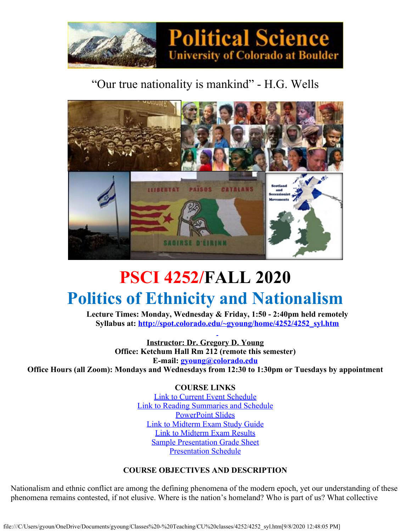

### "Our true nationality is mankind" - H.G. Wells



## **PSCI 4252/FALL 2020 Politics of Ethnicity and Nationalism**

**Lecture Times: Monday, Wednesday & Friday, 1:50 - 2:40pm held remotely Syllabus at: [http://spot.colorado.edu/~gyoung/home/4252/4252\\_syl.htm](http://spot.colorado.edu/~gyoung/home/4252/4252_syl.htm)**

**Instructor: Dr. Gregory D. Young Office: Ketchum Hall Rm 212 (remote this semester) E-mail: [gyoung@colorado.edu](mailto:gyoung@colorado.edu) Office Hours (all Zoom): Mondays and Wednesdays from 12:30 to 1:30pm or Tuesdays by appointment**

> **COURSE LINKS** [Link to Current Event](file:///C/Users/gyoun/OneDrive/Documents/gyoung/Classes%20-%20Teaching/CU%20classes/4252/4252CEskedF20.htm) Schedule Link to Reading [Summaries and Schedule](file:///C/Users/gyoun/OneDrive/Documents/gyoung/Classes%20-%20Teaching/CU%20classes/4252/4252RSskedF20.htm) [PowerPoint Slides](file:///C/Users/gyoun/OneDrive/Documents/gyoung/Classes%20-%20Teaching/CU%20classes/4252/4252ppt.htm) [Link to Midterm Exam](file:///C/Users/gyoun/OneDrive/Documents/gyoung/Classes%20-%20Teaching/CU%20classes/4252/4252midterms.htm) Study Guide [Link to Midterm Exam](file:///C/Users/gyoun/OneDrive/Documents/gyoung/Classes%20-%20Teaching/CU%20classes/4252/4252midscore.htm) Results [Sample Presentation Grade](file:///C/Users/gyoun/OneDrive/Documents/gyoung/Classes%20-%20Teaching/CU%20classes/4252/PRESENTO.htm) Sheet [Presentation Schedule](file:///C/Users/gyoun/OneDrive/Documents/gyoung/Classes%20-%20Teaching/CU%20classes/4252/4252pressked.htm)

#### **COURSE OBJECTIVES AND DESCRIPTION**

Nationalism and ethnic conflict are among the defining phenomena of the modern epoch, yet our understanding of these phenomena remains contested, if not elusive. Where is the nation's homeland? Who is part of us? What collective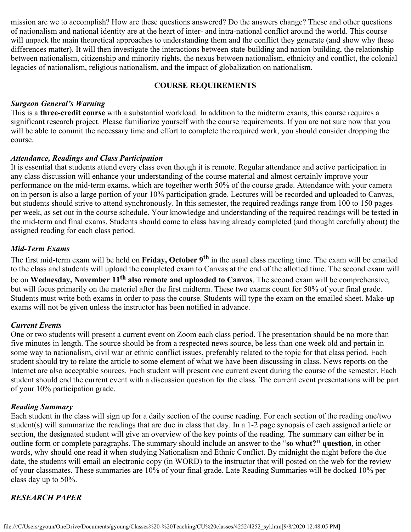mission are we to accomplish? How are these questions answered? Do the answers change? These and other questions of nationalism and national identity are at the heart of inter- and intra-national conflict around the world. This course will unpack the main theoretical approaches to understanding them and the conflict they generate (and show why these differences matter). It will then investigate the interactions between state-building and nation-building, the relationship between nationalism, citizenship and minority rights, the nexus between nationalism, ethnicity and conflict, the colonial legacies of nationalism, religious nationalism, and the impact of globalization on nationalism.

#### **COURSE REQUIREMENTS**

#### *Surgeon General's Warning*

This is a **three-credit course** with a substantial workload. In addition to the midterm exams, this course requires a significant research project. Please familiarize yourself with the course requirements. If you are not sure now that you will be able to commit the necessary time and effort to complete the required work, you should consider dropping the course.

#### *Attendance, Readings and Class Participation*

It is essential that students attend every class even though it is remote. Regular attendance and active participation in any class discussion will enhance your understanding of the course material and almost certainly improve your performance on the mid-term exams, which are together worth 50% of the course grade. Attendance with your camera on in person is also a large portion of your 10% participation grade. Lectures will be recorded and uploaded to Canvas, but students should strive to attend synchronously. In this semester, the required readings range from 100 to 150 pages per week, as set out in the course schedule. Your knowledge and understanding of the required readings will be tested in the mid-term and final exams. Students should come to class having already completed (and thought carefully about) the assigned reading for each class period.

#### *Mid-Term Exams*

The first mid-term exam will be held on **Friday, October 9th** in the usual class meeting time. The exam will be emailed to the class and students will upload the completed exam to Canvas at the end of the allotted time. The second exam will be on **Wednesday, November 11th also remote and uploaded to Canvas**. The second exam will be comprehensive, but will focus primarily on the materiel after the first midterm. These two exams count for 50% of your final grade. Students must write both exams in order to pass the course. Students will type the exam on the emailed sheet. Make-up exams will not be given unless the instructor has been notified in advance.

#### *Current Events*

One or two students will present a current event on Zoom each class period. The presentation should be no more than five minutes in length. The source should be from a respected news source, be less than one week old and pertain in some way to nationalism, civil war or ethnic conflict issues, preferably related to the topic for that class period. Each student should try to relate the article to some element of what we have been discussing in class. News reports on the Internet are also acceptable sources. Each student will present one current event during the course of the semester. Each student should end the current event with a discussion question for the class. The current event presentations will be part of your 10% participation grade.

#### *Reading Summary*

Each student in the class will sign up for a daily section of the course reading. For each section of the reading one/two student(s) will summarize the readings that are due in class that day. In a 1-2 page synopsis of each assigned article or section, the designated student will give an overview of the key points of the reading. The summary can either be in outline form or complete paragraphs. The summary should include an answer to the "**so what?" question**, in other words, why should one read it when studying Nationalism and Ethnic Conflict. By midnight the night before the due date, the students will email an electronic copy (in WORD) to the instructor that will posted on the web for the review of your classmates. These summaries are 10% of your final grade. Late Reading Summaries will be docked 10% per class day up to 50%.

#### *RESEARCH PAPER*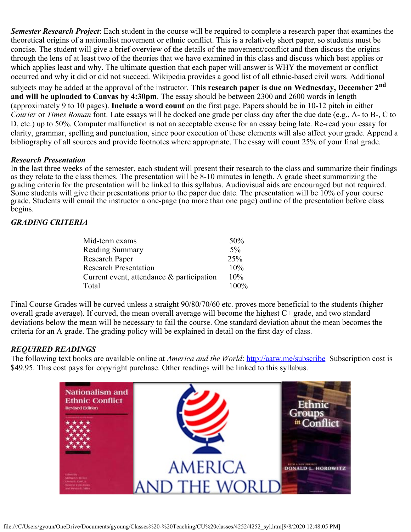*Semester Research Project*: Each student in the course will be required to complete a research paper that examines the theoretical origins of a nationalist movement or ethnic conflict. This is a relatively short paper, so students must be concise. The student will give a brief overview of the details of the movement/conflict and then discuss the origins through the lens of at least two of the theories that we have examined in this class and discuss which best applies or which applies least and why. The ultimate question that each paper will answer is WHY the movement or conflict occurred and why it did or did not succeed. Wikipedia provides a good list of all ethnic-based civil wars. Additional

subjects may be added at the approval of the instructor. **This research paper is due on Wednesday, December 2nd and will be uploaded to Canvas by 4:30pm**. The essay should be between 2300 and 2600 words in length (approximately 9 to 10 pages). **Include a word count** on the first page. Papers should be in 10-12 pitch in either *Courier* or *Times Roman* font. Late essays will be docked one grade per class day after the due date (e.g., A- to B-, C to D, etc.) up to 50%. Computer malfunction is not an acceptable excuse for an essay being late. Re-read your essay for clarity, grammar, spelling and punctuation, since poor execution of these elements will also affect your grade. Append a bibliography of all sources and provide footnotes where appropriate. The essay will count 25% of your final grade.

#### *Research Presentation*

In the last three weeks of the semester, each student will present their research to the class and summarize their findings as they relate to the class themes. The presentation will be 8-10 minutes in length. A grade sheet summarizing the grading criteria for the presentation will be linked to this syllabus. Audiovisual aids are encouraged but not required. Some students will give their presentations prior to the paper due date. The presentation will be  $10\%$  of your course grade. Students will email the instructor a one-page (no more than one page) outline of the presentation before class begins.

#### *GRADING CRITERIA*

| Mid-term exams                            | 50%     |
|-------------------------------------------|---------|
| Reading Summary                           | $5\%$   |
| Research Paper                            | 25%     |
| <b>Research Presentation</b>              | $10\%$  |
| Current event, attendance & participation | $10\%$  |
| Total                                     | $100\%$ |

Final Course Grades will be curved unless a straight 90/80/70/60 etc. proves more beneficial to the students (higher overall grade average). If curved, the mean overall average will become the highest C+ grade, and two standard deviations below the mean will be necessary to fail the course. One standard deviation about the mean becomes the criteria for an A grade. The grading policy will be explained in detail on the first day of class.

#### *REQUIRED READINGS*

The following text books are available online at *America and the World*:<http://aatw.me/subscribe> Subscription cost is \$49.95. This cost pays for copyright purchase. Other readings will be linked to this syllabus.

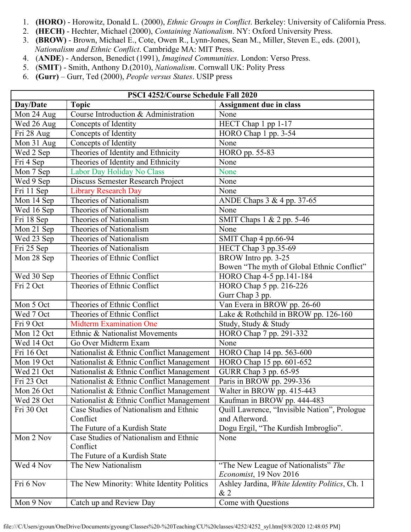- 1. **(HORO**) Horowitz, Donald L. (2000), *Ethnic Groups in Conflict*. Berkeley: University of California Press.
- 2. **(HECH)** Hechter, Michael (2000), *Containing Nationalism*. NY: Oxford University Press.
- 3. **(BROW)** Brown, Michael E., Cote, Owen R., Lynn-Jones, Sean M., Miller, Steven E., eds. (2001), *Nationalism and Ethnic Conflict*. Cambridge MA: MIT Press.
- 4. (**ANDE**) Anderson, Benedict (1991), *Imagined Communities*. London: Verso Press.
- 5. (**SMIT**) Smith, Anthony D.(2010), *Nationalism*. Cornwall UK: Polity Press
- 6. **(Gurr)** Gurr, Ted (2000), *People versus States*. USIP press

| PSCI 4252/Course Schedule Fall 2020 |                                                      |                                                                |
|-------------------------------------|------------------------------------------------------|----------------------------------------------------------------|
| Day/Date                            | <b>Topic</b>                                         | Assignment due in class                                        |
| Mon 24 Aug                          | Course Introduction & Administration                 | None                                                           |
| Wed 26 Aug                          | Concepts of Identity                                 | HECT Chap 1 pp 1-17                                            |
| Fri 28 Aug                          | Concepts of Identity                                 | HORO Chap 1 pp. 3-54                                           |
| Mon 31 Aug                          | Concepts of Identity                                 | None                                                           |
| Wed 2 Sep                           | Theories of Identity and Ethnicity                   | HORO pp. 55-83                                                 |
| Fri 4 Sep                           | Theories of Identity and Ethnicity                   | None                                                           |
| Mon 7 Sep                           | Labor Day Holiday No Class                           | None                                                           |
| Wed 9 Sep                           | Discuss Semester Research Project                    | None                                                           |
| Fri 11 Sep                          | <b>Library Research Day</b>                          | None                                                           |
| Mon 14 Sep                          | Theories of Nationalism                              | ANDE Chaps 3 & 4 pp. 37-65                                     |
| Wed 16 Sep                          | Theories of Nationalism                              | None                                                           |
| Fri 18 Sep                          | Theories of Nationalism                              | SMIT Chaps 1 & 2 pp. 5-46                                      |
| Mon 21 Sep                          | Theories of Nationalism                              | None                                                           |
| Wed 23 Sep                          | Theories of Nationalism                              | SMIT Chap 4 pp.66-94                                           |
| Fri 25 Sep                          | Theories of Nationalism                              | HECT Chap 3 pp.35-69                                           |
| $\overline{M}$ on 28 Sep            | Theories of Ethnic Conflict                          | BROW Intro pp. 3-25                                            |
|                                     |                                                      | Bowen "The myth of Global Ethnic Conflict"                     |
| Wed 30 Sep                          | Theories of Ethnic Conflict                          | HORO Chap 4-5 pp.141-184                                       |
| Fri 2 Oct                           | Theories of Ethnic Conflict                          | HORO Chap 5 pp. 216-226                                        |
|                                     |                                                      | Gurr Chap 3 pp.                                                |
| Mon 5 Oct                           | Theories of Ethnic Conflict                          | Van Evera in BROW pp. 26-60                                    |
| Wed 7 Oct                           | Theories of Ethnic Conflict                          | Lake & Rothchild in BROW pp. 126-160                           |
| Fri 9 Oct                           | <b>Midterm Examination One</b>                       | Study, Study & Study                                           |
| Mon 12 Oct                          | Ethnic & Nationalist Movements                       | HORO Chap 7 pp. 291-332                                        |
| Wed 14 Oct                          | Go Over Midterm Exam                                 | None                                                           |
| Fri 16 Oct                          | Nationalist & Ethnic Conflict Management             | HORO Chap 14 pp. 563-600                                       |
| Mon 19 Oct                          | Nationalist & Ethnic Conflict Management             | HORO Chap 15 pp. 601-652                                       |
| Wed 21 Oct                          | Nationalist & Ethnic Conflict Management             | GURR Chap 3 pp. 65-95                                          |
| Fri 23 Oct                          | Nationalist & Ethnic Conflict Management             | Paris in BROW pp. 299-336                                      |
| Mon 26 Oct                          | Nationalist & Ethnic Conflict Management             | Walter in BROW pp. 415-443                                     |
| Wed 28 Oct                          | Nationalist & Ethnic Conflict Management             | Kaufman in BROW pp. 444-483                                    |
| Fri 30 Oct                          | Case Studies of Nationalism and Ethnic               | Quill Lawrence, "Invisible Nation", Prologue                   |
|                                     | Conflict                                             | and Afterword.                                                 |
|                                     | The Future of a Kurdish State                        | Dogu Ergil, "The Kurdish Imbroglio".                           |
| Mon 2 Nov                           | Case Studies of Nationalism and Ethnic               | None                                                           |
|                                     | Conflict                                             |                                                                |
| Wed 4 Nov                           | The Future of a Kurdish State<br>The New Nationalism |                                                                |
|                                     |                                                      | "The New League of Nationalists" The<br>Economist, 19 Nov 2016 |
| Fri 6 Nov                           | The New Minority: White Identity Politics            | Ashley Jardina, White Identity Politics, Ch. 1                 |
|                                     |                                                      | &2                                                             |
| Mon 9 Nov                           | Catch up and Review Day                              | Come with Questions                                            |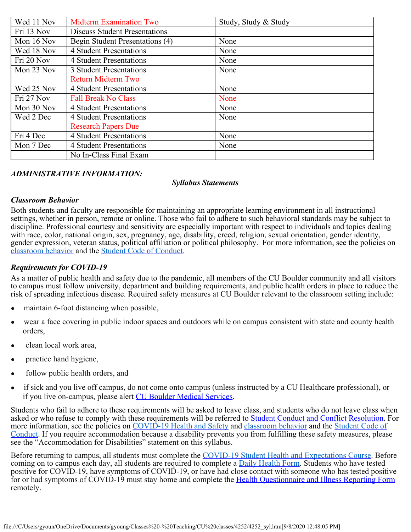| Wed 11 Nov | <b>Midterm Examination Two</b>       | Study, Study & Study |
|------------|--------------------------------------|----------------------|
| Fri 13 Nov | <b>Discuss Student Presentations</b> |                      |
| Mon 16 Nov | Begin Student Presentations (4)      | None                 |
| Wed 18 Nov | 4 Student Presentations              | None                 |
| Fri 20 Nov | <b>4 Student Presentations</b>       | None                 |
| Mon 23 Nov | 3 Student Presentations              | None                 |
|            | <b>Return Midterm Two</b>            |                      |
| Wed 25 Nov | 4 Student Presentations              | None                 |
| Fri 27 Nov | <b>Fall Break No Class</b>           | None                 |
| Mon 30 Nov | <b>4 Student Presentations</b>       | None                 |
| Wed 2 Dec  | 4 Student Presentations              | None                 |
|            | <b>Research Papers Due</b>           |                      |
| Fri 4 Dec  | 4 Student Presentations              | None                 |
| Mon 7 Dec  | <b>4 Student Presentations</b>       | None                 |
|            | No In-Class Final Exam               |                      |

#### *ADMINISTRATIVE INFORMATION:*

#### *Syllabus Statements*

#### *Classroom Behavior*

Both students and faculty are responsible for maintaining an appropriate learning environment in all instructional settings, whether in person, remote or online. Those who fail to adhere to such behavioral standards may be subject to discipline. Professional courtesy and sensitivity are especially important with respect to individuals and topics dealing with race, color, national origin, sex, pregnancy, age, disability, creed, religion, sexual orientation, gender identity, gender expression, veteran status, political affiliation or political philosophy. For more information, see the policies on [classroom behavior](http://www.colorado.edu/policies/student-classroom-and-course-related-behavior) and the [Student Code of Conduct](https://www.colorado.edu/sccr/sites/default/files/attached-files/2019-2020_student_code_of_conduct_0.pdf).

#### *Requirements for COVID-19*

As a matter of public health and safety due to the pandemic, all members of the CU Boulder community and all visitors to campus must follow university, department and building requirements, and public health orders in place to reduce the risk of spreading infectious disease. Required safety measures at CU Boulder relevant to the classroom setting include:

- maintain 6-foot distancing when possible,
- wear a face covering in public indoor spaces and outdoors while on campus consistent with state and county health orders,
- clean local work area,
- practice hand hygiene,
- follow public health orders, and
- if sick and you live off campus, do not come onto campus (unless instructed by a CU Healthcare professional), or if you live on-campus, please alert CU [Boulder Medical Services](https://www.colorado.edu/healthcenter/coronavirus-updates/symptoms-and-what-do-if-you-feel-sick).

Students who fail to adhere to these requirements will be asked to leave class, and students who do not leave class when asked or who refuse to comply with these requirements will be referred to **Student Conduct and Conflict Resolution**. For more information, see the policies on [COVID-19 Health and Safety](https://www.colorado.edu/policies/covid-19-health-and-safety-policy) and [classroom behavior](http://www.colorado.edu/policies/student-classroom-and-course-related-behavior) and the [Student Code](http://www.colorado.edu/osccr/) of [Conduct.](http://www.colorado.edu/osccr/) If you require accommodation because a disability prevents you from fulfilling these safety measures, please see the "Accommodation for Disabilities" statement on this syllabus.

Before returning to campus, all students must complete the [COVID-19 Student Health and Expectations Course.](https://www.colorado.edu/protect-our-herd/how#anchor1) Before coming on to campus each day, all students are required to complete a [Daily Health Form](https://www.colorado.edu/protect-our-herd/daily-health-form). Students who have tested positive for COVID-19, have symptoms of COVID-19, or have had close contact with someone who has tested positive for or had symptoms of COVID-19 must stay home and complete the Health [Questionnaire and Illness Reporting Form](https://www.colorado.edu/protect-our-herd/daily-health-form) remotely.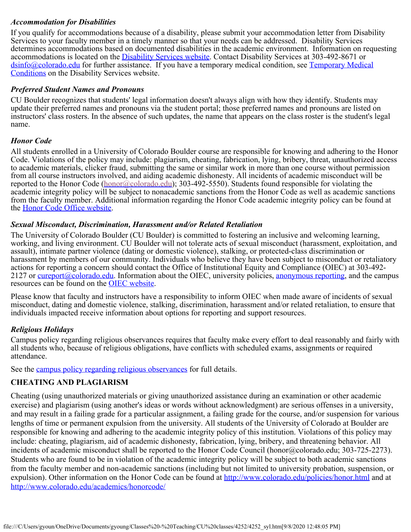#### *Accommodation for Disabilities*

If you qualify for accommodations because of a disability, please submit your accommodation letter from Disability Services to your faculty member in a timely manner so that your needs can be addressed. Disability Services determines accommodations based on documented disabilities in the academic environment. Information on requesting accommodations is located on the *Disability Services website*. Contact Disability Services at 303-492-8671 or [dsinfo@colorado.edu](mailto:dsinfo@colorado.edu) for further assistance. If you have a temporary medical condition, see [Temporary](http://www.colorado.edu/disabilityservices/students/temporary-medical-conditions) Medical [Conditions](http://www.colorado.edu/disabilityservices/students/temporary-medical-conditions) on the Disability Services website.

#### *Preferred Student Names and Pronouns*

CU Boulder recognizes that students' legal information doesn't always align with how they identify. Students may update their preferred names and pronouns via the student portal; those preferred names and pronouns are listed on instructors' class rosters. In the absence of such updates, the name that appears on the class roster is the student's legal name.

#### *Honor Code*

All students enrolled in a University of Colorado Boulder course are responsible for knowing and adhering to the Honor Code. Violations of the policy may include: plagiarism, cheating, fabrication, lying, bribery, threat, unauthorized access to academic materials, clicker fraud, submitting the same or similar work in more than one course without permission from all course instructors involved, and aiding academic dishonesty. All incidents of academic misconduct will be reported to the Honor Code ([honor@colorado.edu](mailto:honor@colorado.edu)); 303-492-5550). Students found responsible for violating the academic integrity policy will be subject to nonacademic sanctions from the Honor Code as well as academic sanctions from the faculty member. Additional information regarding the Honor Code academic integrity policy can be found at the Honor Code [Office website](https://www.colorado.edu/osccr/honor-code).

#### *Sexual Misconduct, Discrimination, Harassment and/or Related Retaliation*

The University of Colorado Boulder (CU Boulder) is committed to fostering an inclusive and welcoming learning, working, and living environment. CU Boulder will not tolerate acts of sexual misconduct (harassment, exploitation, and assault), intimate partner violence (dating or domestic violence), stalking, or protected-class discrimination or harassment by members of our community. Individuals who believe they have been subject to misconduct or retaliatory actions for reporting a concern should contact the Office of Institutional Equity and Compliance (OIEC) at 303-492 2127 or [cureport@colorado.edu](mailto:cureport@colorado.edu). Information about the OIEC, university policies, [anonymous](https://cuboulder.qualtrics.com/jfe/form/SV_0PnqVK4kkIJIZnf) reporting, and the campus resources can be found on the [OIEC website.](http://www.colorado.edu/institutionalequity/)

Please know that faculty and instructors have a responsibility to inform OIEC when made aware of incidents of sexual misconduct, dating and domestic violence, stalking, discrimination, harassment and/or related retaliation, to ensure that individuals impacted receive information about options for reporting and support resources.

#### *Religious Holidays*

Campus policy regarding religious observances requires that faculty make every effort to deal reasonably and fairly with all students who, because of religious obligations, have conflicts with scheduled exams, assignments or required attendance.

See the campus [policy regarding religious observances](http://www.colorado.edu/policies/observance-religious-holidays-and-absences-classes-andor-exams) for full details.

#### **CHEATING AND PLAGIARISM**

Cheating (using unauthorized materials or giving unauthorized assistance during an examination or other academic exercise) and plagiarism (using another's ideas or words without acknowledgment) are serious offenses in a university, and may result in a failing grade for a particular assignment, a failing grade for the course, and/or suspension for various lengths of time or permanent expulsion from the university. All students of the University of Colorado at Boulder are responsible for knowing and adhering to the academic integrity policy of this institution. Violations of this policy may include: cheating, plagiarism, aid of academic dishonesty, fabrication, lying, bribery, and threatening behavior. All incidents of academic misconduct shall be reported to the Honor Code Council (honor@colorado.edu; 303-725-2273). Students who are found to be in violation of the academic integrity policy will be subject to both academic sanctions from the faculty member and non-academic sanctions (including but not limited to university probation, suspension, or expulsion). Other information on the Honor Code can be found at [http://www.colorado.edu/policies/honor.html](https://culink.colorado.edu/wm/mail/fetch.html?urlid=g0a9ec54cc73e3531669be70a951dc2efdj9p5nljhl&url=http%3A%2F%2Fwww.colorado.edu%2Fpolicies%2Fhonor.html) and at [http://www.colorado.edu/academics/honorcode/](https://culink.colorado.edu/wm/mail/fetch.html?urlid=g0a9ec54cc73e3531669be70a951dc2efdj9p5nljhl&url=http%3A%2F%2Fwww.colorado.edu%2Facademics%2Fhonorcode%2F)